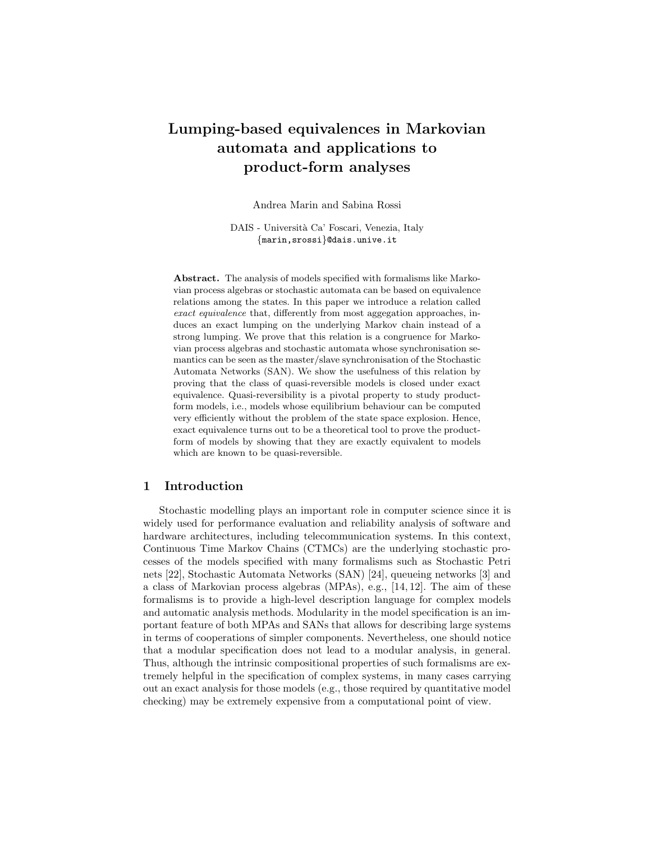# Lumping-based equivalences in Markovian automata and applications to product-form analyses

Andrea Marin and Sabina Rossi

DAIS - Università Ca' Foscari, Venezia, Italy {marin,srossi}@dais.unive.it

Abstract. The analysis of models specified with formalisms like Markovian process algebras or stochastic automata can be based on equivalence relations among the states. In this paper we introduce a relation called exact equivalence that, differently from most aggegation approaches, induces an exact lumping on the underlying Markov chain instead of a strong lumping. We prove that this relation is a congruence for Markovian process algebras and stochastic automata whose synchronisation semantics can be seen as the master/slave synchronisation of the Stochastic Automata Networks (SAN). We show the usefulness of this relation by proving that the class of quasi-reversible models is closed under exact equivalence. Quasi-reversibility is a pivotal property to study productform models, i.e., models whose equilibrium behaviour can be computed very efficiently without the problem of the state space explosion. Hence, exact equivalence turns out to be a theoretical tool to prove the productform of models by showing that they are exactly equivalent to models which are known to be quasi-reversible.

## 1 Introduction

Stochastic modelling plays an important role in computer science since it is widely used for performance evaluation and reliability analysis of software and hardware architectures, including telecommunication systems. In this context, Continuous Time Markov Chains (CTMCs) are the underlying stochastic processes of the models specified with many formalisms such as Stochastic Petri nets [22], Stochastic Automata Networks (SAN) [24], queueing networks [3] and a class of Markovian process algebras (MPAs), e.g., [14, 12]. The aim of these formalisms is to provide a high-level description language for complex models and automatic analysis methods. Modularity in the model specification is an important feature of both MPAs and SANs that allows for describing large systems in terms of cooperations of simpler components. Nevertheless, one should notice that a modular specification does not lead to a modular analysis, in general. Thus, although the intrinsic compositional properties of such formalisms are extremely helpful in the specification of complex systems, in many cases carrying out an exact analysis for those models (e.g., those required by quantitative model checking) may be extremely expensive from a computational point of view.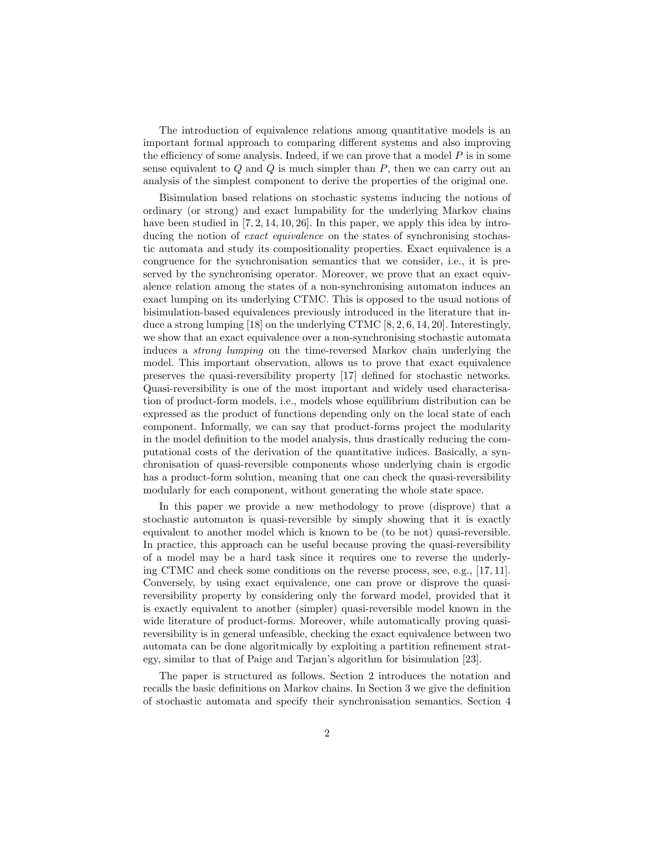The introduction of equivalence relations among quantitative models is an important formal approach to comparing different systems and also improving the efficiency of some analysis. Indeed, if we can prove that a model  $P$  is in some sense equivalent to  $Q$  and  $Q$  is much simpler than  $P$ , then we can carry out an analysis of the simplest component to derive the properties of the original one.

Bisimulation based relations on stochastic systems inducing the notions of ordinary (or strong) and exact lumpability for the underlying Markov chains have been studied in [7, 2, 14, 10, 26]. In this paper, we apply this idea by introducing the notion of *exact equivalence* on the states of synchronising stochastic automata and study its compositionality properties. Exact equivalence is a congruence for the synchronisation semantics that we consider, i.e., it is preserved by the synchronising operator. Moreover, we prove that an exact equivalence relation among the states of a non-synchronising automaton induces an exact lumping on its underlying CTMC. This is opposed to the usual notions of bisimulation-based equivalences previously introduced in the literature that induce a strong lumping [18] on the underlying CTMC [8, 2, 6, 14, 20]. Interestingly, we show that an exact equivalence over a non-synchronising stochastic automata induces a strong lumping on the time-reversed Markov chain underlying the model. This important observation, allows us to prove that exact equivalence preserves the quasi-reversibility property [17] defined for stochastic networks. Quasi-reversibility is one of the most important and widely used characterisation of product-form models, i.e., models whose equilibrium distribution can be expressed as the product of functions depending only on the local state of each component. Informally, we can say that product-forms project the modularity in the model definition to the model analysis, thus drastically reducing the computational costs of the derivation of the quantitative indices. Basically, a synchronisation of quasi-reversible components whose underlying chain is ergodic has a product-form solution, meaning that one can check the quasi-reversibility modularly for each component, without generating the whole state space.

In this paper we provide a new methodology to prove (disprove) that a stochastic automaton is quasi-reversible by simply showing that it is exactly equivalent to another model which is known to be (to be not) quasi-reversible. In practice, this approach can be useful because proving the quasi-reversibility of a model may be a hard task since it requires one to reverse the underlying CTMC and check some conditions on the reverse process, see, e.g., [17, 11]. Conversely, by using exact equivalence, one can prove or disprove the quasireversibility property by considering only the forward model, provided that it is exactly equivalent to another (simpler) quasi-reversible model known in the wide literature of product-forms. Moreover, while automatically proving quasireversibility is in general unfeasible, checking the exact equivalence between two automata can be done algoritmically by exploiting a partition refinement strategy, similar to that of Paige and Tarjan's algorithm for bisimulation [23].

The paper is structured as follows. Section 2 introduces the notation and recalls the basic definitions on Markov chains. In Section 3 we give the definition of stochastic automata and specify their synchronisation semantics. Section 4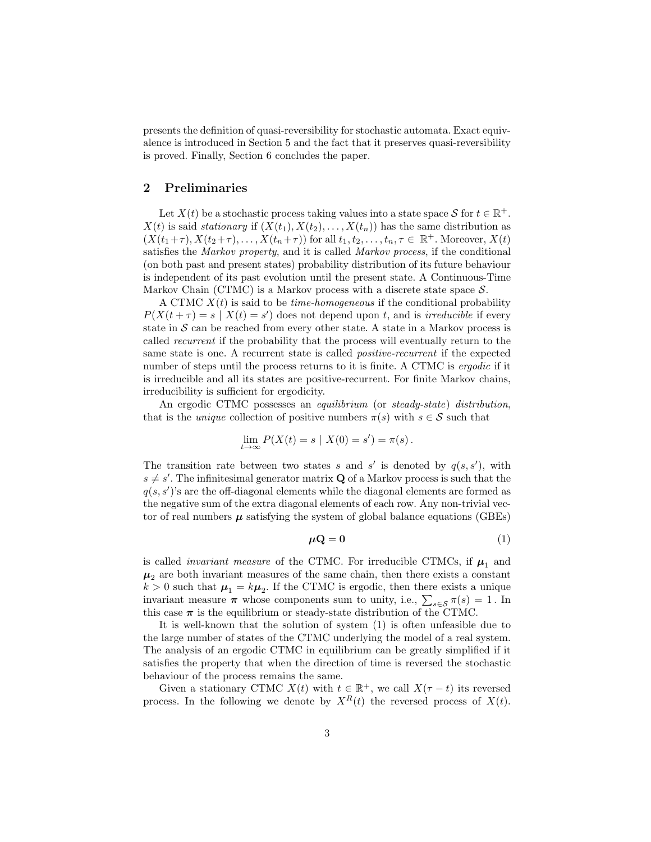presents the definition of quasi-reversibility for stochastic automata. Exact equivalence is introduced in Section 5 and the fact that it preserves quasi-reversibility is proved. Finally, Section 6 concludes the paper.

#### 2 Preliminaries

Let  $X(t)$  be a stochastic process taking values into a state space S for  $t \in \mathbb{R}^+$ .  $X(t)$  is said *stationary* if  $(X(t_1), X(t_2), \ldots, X(t_n))$  has the same distribution as  $(X(t_1+\tau), X(t_2+\tau), \ldots, X(t_n+\tau))$  for all  $t_1, t_2, \ldots, t_n, \tau \in \mathbb{R}^+$ . Moreover,  $X(t)$ satisfies the Markov property, and it is called Markov process, if the conditional (on both past and present states) probability distribution of its future behaviour is independent of its past evolution until the present state. A Continuous-Time Markov Chain (CTMC) is a Markov process with a discrete state space  $S$ .

A CTMC  $X(t)$  is said to be *time-homogeneous* if the conditional probability  $P(X(t + \tau) = s \mid X(t) = s')$  does not depend upon t, and is *irreducible* if every state in  $S$  can be reached from every other state. A state in a Markov process is called recurrent if the probability that the process will eventually return to the same state is one. A recurrent state is called positive-recurrent if the expected number of steps until the process returns to it is finite. A CTMC is *ergodic* if it is irreducible and all its states are positive-recurrent. For finite Markov chains, irreducibility is sufficient for ergodicity.

An ergodic CTMC possesses an *equilibrium* (or *steady-state*) *distribution*, that is the *unique* collection of positive numbers  $\pi(s)$  with  $s \in \mathcal{S}$  such that

$$
\lim_{t \to \infty} P(X(t) = s \mid X(0) = s') = \pi(s).
$$

The transition rate between two states s and s' is denoted by  $q(s, s')$ , with  $s \neq s'$ . The infinitesimal generator matrix **Q** of a Markov process is such that the  $q(s, s')$ 's are the off-diagonal elements while the diagonal elements are formed as the negative sum of the extra diagonal elements of each row. Any non-trivial vector of real numbers  $\mu$  satisfying the system of global balance equations (GBEs)

$$
\mu \mathbf{Q} = \mathbf{0} \tag{1}
$$

is called *invariant measure* of the CTMC. For irreducible CTMCs, if  $\mu_1$  and  $\mu_2$  are both invariant measures of the same chain, then there exists a constant  $k > 0$  such that  $\mu_1 = k\mu_2$ . If the CTMC is ergodic, then there exists a unique invariant measure  $\pi$  whose components sum to unity, i.e.,  $\sum_{s \in \mathcal{S}} \pi(s) = 1$ . In this case  $\pi$  is the equilibrium or steady-state distribution of the CTMC.

It is well-known that the solution of system (1) is often unfeasible due to the large number of states of the CTMC underlying the model of a real system. The analysis of an ergodic CTMC in equilibrium can be greatly simplified if it satisfies the property that when the direction of time is reversed the stochastic behaviour of the process remains the same.

Given a stationary CTMC  $X(t)$  with  $t \in \mathbb{R}^+$ , we call  $X(\tau - t)$  its reversed process. In the following we denote by  $X^R(t)$  the reversed process of  $X(t)$ .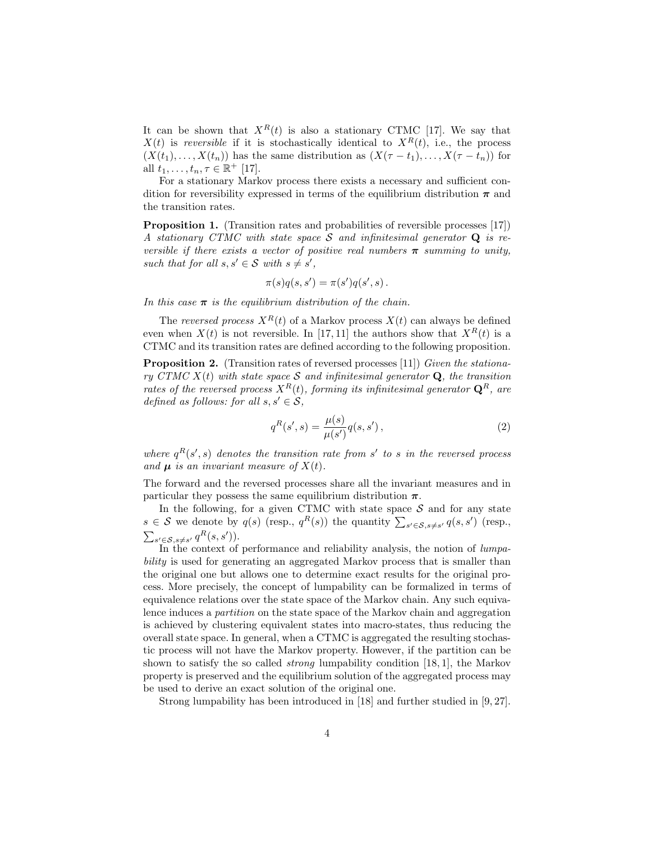It can be shown that  $X^R(t)$  is also a stationary CTMC [17]. We say that  $X(t)$  is reversible if it is stochastically identical to  $X^{R}(t)$ , i.e., the process  $(X(t_1),..., X(t_n))$  has the same distribution as  $(X(\tau - t_1),..., X(\tau - t_n))$  for all  $t_1, \ldots, t_n, \tau \in \mathbb{R}^+$  [17].

For a stationary Markov process there exists a necessary and sufficient condition for reversibility expressed in terms of the equilibrium distribution  $\pi$  and the transition rates.

Proposition 1. (Transition rates and probabilities of reversible processes [17]) A stationary CTMC with state space S and infinitesimal generator  $Q$  is reversible if there exists a vector of positive real numbers  $\pi$  summing to unity, such that for all  $s, s' \in S$  with  $s \neq s'$ ,

$$
\pi(s)q(s,s') = \pi(s')q(s',s).
$$

In this case  $\pi$  is the equilibrium distribution of the chain.

The reversed process  $X^R(t)$  of a Markov process  $X(t)$  can always be defined even when  $X(t)$  is not reversible. In [17, 11] the authors show that  $X^{R}(t)$  is a CTMC and its transition rates are defined according to the following proposition.

**Proposition 2.** (Transition rates of reversed processes [11]) Given the stationary CTMC  $X(t)$  with state space S and infinitesimal generator Q, the transition rates of the reversed process  $X^R(t)$ , forming its infinitesimal generator  $\mathbf{Q}^R$ , are defined as follows: for all  $s, s' \in S$ ,

$$
q^{R}(s', s) = \frac{\mu(s)}{\mu(s')}q(s, s'),
$$
\n(2)

where  $q^R(s',s)$  denotes the transition rate from s' to s in the reversed process and  $\mu$  is an invariant measure of  $X(t)$ .

The forward and the reversed processes share all the invariant measures and in particular they possess the same equilibrium distribution  $\pi$ .

In the following, for a given CTMC with state space  $S$  and for any state  $s \in S$  we denote by  $q(s)$  (resp.,  $q^R(s)$ ) the quantity  $\sum_{s' \in S, s \neq s'} q(s, s')$  (resp.,  $\sum_{s' \in \mathcal{S}, s \neq s'} q^R(s, s')$ .

In the context of performance and reliability analysis, the notion of lumpability is used for generating an aggregated Markov process that is smaller than the original one but allows one to determine exact results for the original process. More precisely, the concept of lumpability can be formalized in terms of equivalence relations over the state space of the Markov chain. Any such equivalence induces a partition on the state space of the Markov chain and aggregation is achieved by clustering equivalent states into macro-states, thus reducing the overall state space. In general, when a CTMC is aggregated the resulting stochastic process will not have the Markov property. However, if the partition can be shown to satisfy the so called strong lumpability condition [18, 1], the Markov property is preserved and the equilibrium solution of the aggregated process may be used to derive an exact solution of the original one.

Strong lumpability has been introduced in [18] and further studied in [9, 27].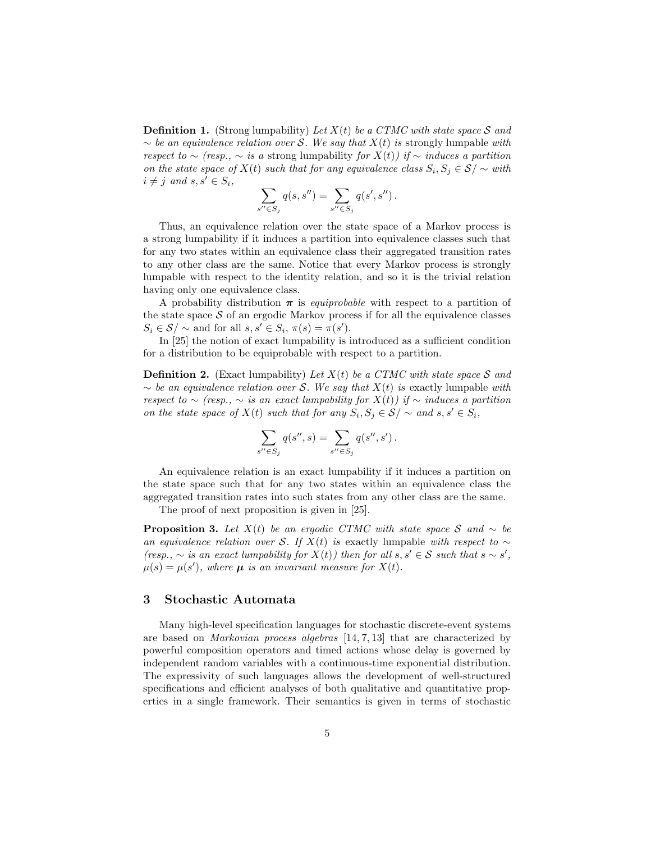**Definition 1.** (Strong lumpability) Let  $X(t)$  be a CTMC with state space S and  $\sim$  be an equivalence relation over S. We say that  $X(t)$  is strongly lumpable with respect to ∼ (resp., ∼ is a strong lumpability for  $X(t)$ ) if ∼ induces a partition on the state space of  $X(t)$  such that for any equivalence class  $S_i, S_j \in S/\sim$  with  $i \neq j$  and  $s, s' \in S_i$ ,

$$
\sum_{s'' \in S_j} q(s, s'') = \sum_{s'' \in S_j} q(s', s'').
$$

Thus, an equivalence relation over the state space of a Markov process is a strong lumpability if it induces a partition into equivalence classes such that for any two states within an equivalence class their aggregated transition rates to any other class are the same. Notice that every Markov process is strongly lumpable with respect to the identity relation, and so it is the trivial relation having only one equivalence class.

A probability distribution  $\pi$  is *equiprobable* with respect to a partition of the state space  $S$  of an ergodic Markov process if for all the equivalence classes  $S_i \in \mathcal{S}/\sim$  and for all  $s, s' \in S_i$ ,  $\pi(s) = \pi(s')$ .

In [25] the notion of exact lumpability is introduced as a sufficient condition for a distribution to be equiprobable with respect to a partition.

**Definition 2.** (Exact lumpability) Let  $X(t)$  be a CTMC with state space S and  $\sim$  be an equivalence relation over S. We say that  $X(t)$  is exactly lumpable with respect to ∼ (resp., ∼ is an exact lumpability for  $X(t)$ ) if ∼ induces a partition on the state space of  $X(t)$  such that for any  $S_i, S_j \in \mathcal{S}/\sim$  and  $s, s' \in S_i$ ,

$$
\sum_{s'' \in S_j} q(s'', s) = \sum_{s'' \in S_j} q(s'', s') \, .
$$

An equivalence relation is an exact lumpability if it induces a partition on the state space such that for any two states within an equivalence class the aggregated transition rates into such states from any other class are the same.

The proof of next proposition is given in [25].

**Proposition 3.** Let  $X(t)$  be an ergodic CTMC with state space S and  $\sim$  be an equivalence relation over S. If  $X(t)$  is exactly lumpable with respect to ∼  $(resp., \sim is an exact lumpability for X(t)) then for all s, s' \in S such that s \sim s',$  $\mu(s) = \mu(s')$ , where  $\mu$  is an invariant measure for  $X(t)$ .

#### 3 Stochastic Automata

Many high-level specification languages for stochastic discrete-event systems are based on Markovian process algebras [14, 7, 13] that are characterized by powerful composition operators and timed actions whose delay is governed by independent random variables with a continuous-time exponential distribution. The expressivity of such languages allows the development of well-structured specifications and efficient analyses of both qualitative and quantitative properties in a single framework. Their semantics is given in terms of stochastic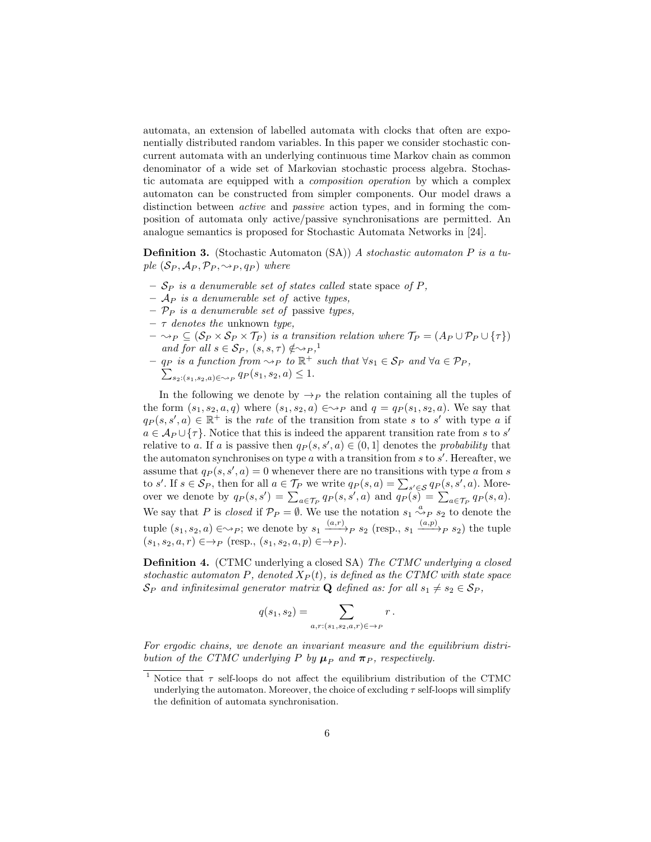automata, an extension of labelled automata with clocks that often are exponentially distributed random variables. In this paper we consider stochastic concurrent automata with an underlying continuous time Markov chain as common denominator of a wide set of Markovian stochastic process algebra. Stochastic automata are equipped with a composition operation by which a complex automaton can be constructed from simpler components. Our model draws a distinction between active and passive action types, and in forming the composition of automata only active/passive synchronisations are permitted. An analogue semantics is proposed for Stochastic Automata Networks in [24].

**Definition 3.** (Stochastic Automaton (SA)) A stochastic automaton P is a tuple  $(S_P, \mathcal{A}_P, \mathcal{P}_P, \rightsquigarrow_{P}, q_P)$  where

- $S_P$  is a denumerable set of states called state space of P,
- $A_P$  is a denumerable set of active types,
- $\mathcal{P}_P$  is a denumerable set of passive types,
- $\tau$  denotes the unknown type.
- $-\leadsto_P \subseteq (\mathcal{S}_P \times \mathcal{S}_P \times \mathcal{T}_P)$  is a transition relation where  $\mathcal{T}_P = (A_P \cup \mathcal{P}_P \cup \{\tau\})$ and for all  $s \in S_P$ ,  $(s, s, \tau) \notin \sim_P^1$ ,
- $q_P$  is a function from  $\leadsto_P$  to  $\mathbb{R}^+$  such that  $\forall s_1 \in S_P$  and  $\forall a \in \mathcal{P}_P$ ,  $\sum_{s_2:(s_1,s_2,a)\in\leadsto_P} q_P(s_1,s_2,a) \leq 1.$

In the following we denote by  $\rightarrow_P$  the relation containing all the tuples of the form  $(s_1, s_2, a, q)$  where  $(s_1, s_2, a) \in \leadsto_P$  and  $q = qp(s_1, s_2, a)$ . We say that  $q_P(s, s', a) \in \mathbb{R}^+$  is the *rate* of the transition from state s to s' with type a if  $a \in A_P \cup \{\tau\}$ . Notice that this is indeed the apparent transition rate from s to s' relative to a. If a is passive then  $q_P(s, s', a) \in (0, 1]$  denotes the *probability* that the automaton synchronises on type  $a$  with a transition from  $s$  to  $s'$ . Hereafter, we assume that  $q_P(s, s', a) = 0$  whenever there are no transitions with type a from s to s'. If  $s \in S_P$ , then for all  $a \in \mathcal{T}_P$  we write  $q_P(s, a) = \sum_{s' \in \mathcal{S}} q_P(s, s', a)$ . Moreover we denote by  $q_P(s, s') = \sum_{a \in \mathcal{T}_P} q_P(s, s', a)$  and  $q_P(s) = \sum_{a \in \mathcal{T}_P} q_P(s, a)$ . We say that P is closed if  $\mathcal{P}_P = \emptyset$ . We use the notation  $s_1 \stackrel{a}{\leadsto} p s_2$  to denote the tuple  $(s_1, s_2, a) \in \leadsto_P$ ; we denote by  $s_1 \xrightarrow{(a,r)} s_2$  (resp.,  $s_1 \xrightarrow{(a,p)} s_2$ ) the tuple  $(s_1, s_2, a, r) \in \rightarrow_P (\text{resp., } (s_1, s_2, a, p) \in \rightarrow_P).$ 

Definition 4. (CTMC underlying a closed SA) The CTMC underlying a closed stochastic automator P, denoted  $X_P(t)$ , is defined as the CTMC with state space  $\mathcal{S}_P$  and infinitesimal generator matrix **Q** defined as: for all  $s_1 \neq s_2 \in \mathcal{S}_P$ ,

$$
q(s_1, s_2) = \sum_{a, r: (s_1, s_2, a, r) \in \to P} r.
$$

For ergodic chains, we denote an invariant measure and the equilibrium distribution of the CTMC underlying P by  $\mu_P$  and  $\pi_P$ , respectively.

<sup>&</sup>lt;sup>1</sup> Notice that  $\tau$  self-loops do not affect the equilibrium distribution of the CTMC underlying the automaton. Moreover, the choice of excluding  $\tau$  self-loops will simplify the definition of automata synchronisation.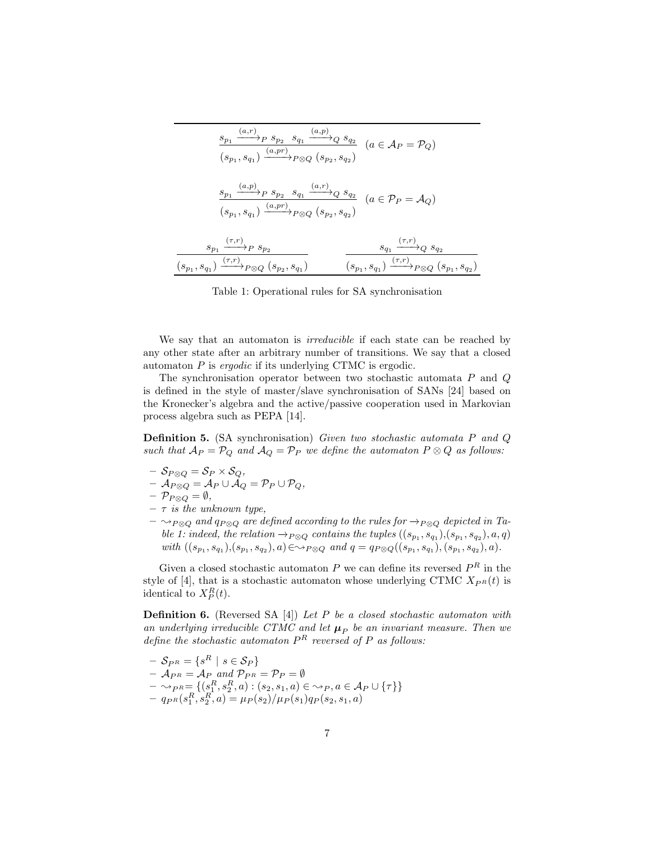$$
\begin{array}{cc}\n s_{p_1} \xrightarrow{(a,r)} P s_{p_2} s_{q_1} \xrightarrow{(a,p)} Q s_{q_2} \\
(s_{p_1}, s_{q_1}) \xrightarrow{(a, pr)} P \otimes Q (s_{p_2}, s_{q_2})\n\end{array}\n\quad (a \in \mathcal{A}_P = \mathcal{P}_Q)
$$
\n
$$
\xrightarrow{\left(s_{p_1}, s_{q_1}\right)} \xrightarrow{(a,p)} P s_{p_2} s_{q_1} \xrightarrow{(a,r)} Q s_{q_2} \quad (a \in \mathcal{P}_P = \mathcal{A}_Q)
$$
\n
$$
\xrightarrow{(s_{p_1}, s_{q_1})} \xrightarrow{(r,r)} P s_{p_2} \xrightarrow{(s_{p_2}, s_{q_2})} \xrightarrow{s_{q_1} \xrightarrow{(r,r)} Q s_{q_2} \xrightarrow{(s_{p_1}, s_{q_1})} \xrightarrow{(r,r)} P \otimes Q (s_{p_2}, s_{q_1})}\n\end{array}
$$

Table 1: Operational rules for SA synchronisation

We say that an automaton is *irreducible* if each state can be reached by any other state after an arbitrary number of transitions. We say that a closed automaton P is ergodic if its underlying CTMC is ergodic.

The synchronisation operator between two stochastic automata P and Q is defined in the style of master/slave synchronisation of SANs [24] based on the Kronecker's algebra and the active/passive cooperation used in Markovian process algebra such as PEPA [14].

Definition 5. (SA synchronisation) Given two stochastic automata P and Q such that  $A_P = P_Q$  and  $A_Q = P_P$  we define the automaton  $P \otimes Q$  as follows:

 $-\mathcal{S}_{P\otimes Q} = \mathcal{S}_P \times \mathcal{S}_Q,$ 

$$
- A_{P\otimes Q} = A_P \cup A_Q = \mathcal{P}_P \cup \mathcal{P}_Q,
$$

$$
- \mathcal{P}_{P\otimes Q} = \emptyset,
$$

- $\tau$  is the unknown type,
- $\rightarrow_{P\otimes Q}$  and  $q_{P\otimes Q}$  are defined according to the rules for  $\rightarrow_{P\otimes Q}$  depicted in Table 1: indeed, the relation  $\rightarrow_{P\otimes Q}$  contains the tuples  $((s_{p_1}, s_{q_1}), (s_{p_1}, s_{q_2}), a, q)$ with  $((s_{p_1}, s_{q_1}), (s_{p_1}, s_{q_2}), a) \in \leadsto_{P \otimes Q} and q = q_{P \otimes Q}((s_{p_1}, s_{q_1}), (s_{p_1}, s_{q_2}), a).$

Given a closed stochastic automaton  $P$  we can define its reversed  $P<sup>R</sup>$  in the style of [4], that is a stochastic automaton whose underlying CTMC  $X_{PR}(t)$  is identical to  $X_P^R(t)$ .

**Definition 6.** (Reversed SA [4]) Let P be a closed stochastic automaton with an underlying irreducible CTMC and let  $\mu_P$  be an invariant measure. Then we define the stochastic automaton  $P<sup>R</sup>$  reversed of P as follows:

 $- \mathcal{S}_{P^R} = \{ s^R \mid s \in \mathcal{S}_P \}$  $-\mathcal{A}_{P} = \mathcal{A}_{P}$  and  $\mathcal{P}_{P} = \mathcal{P}_{P} = \emptyset$  $- \leadsto_{PR} = \{ (s_1^R, s_2^R, a) : (s_2, s_1, a) \in \leadsto_P, a \in \mathcal{A}_P \cup \{\tau\} \}$  $- q_{P^R}(s_1^R, s_2^R, a) = \mu_P(s_2) / \mu_P(s_1) q_P(s_2, s_1, a)$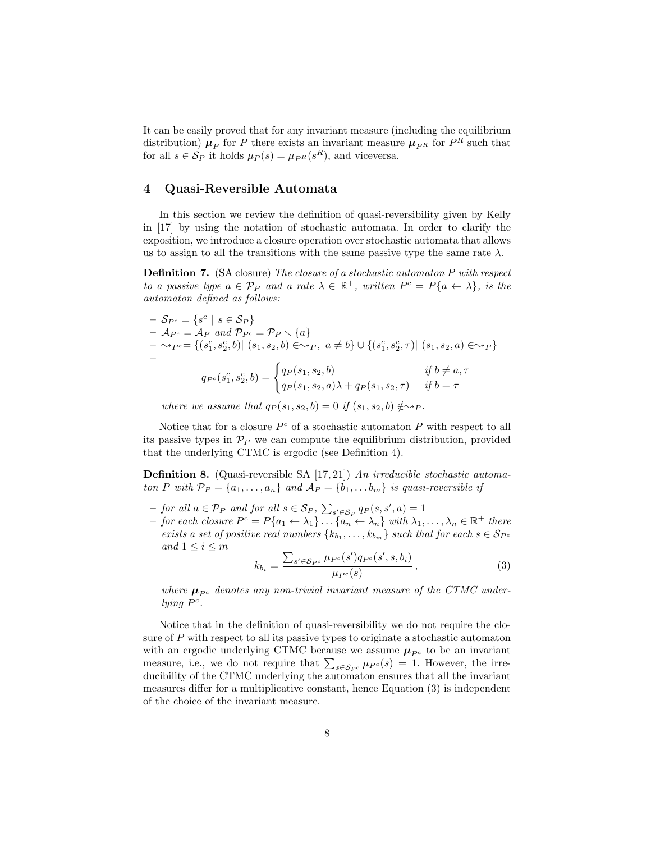It can be easily proved that for any invariant measure (including the equilibrium distribution)  $\mu_P$  for P there exists an invariant measure  $\mu_{PR}$  for  $P^R$  such that for all  $s \in S_P$  it holds  $\mu_P(s) = \mu_{P^R}(s^R)$ , and viceversa.

### 4 Quasi-Reversible Automata

In this section we review the definition of quasi-reversibility given by Kelly in [17] by using the notation of stochastic automata. In order to clarify the exposition, we introduce a closure operation over stochastic automata that allows us to assign to all the transitions with the same passive type the same rate  $\lambda$ .

Definition 7. (SA closure) The closure of a stochastic automaton P with respect to a passive type  $a \in \mathcal{P}_P$  and a rate  $\lambda \in \mathbb{R}^+$ , written  $P^c = P\{a \leftarrow \lambda\}$ , is the automaton defined as follows:

$$
- S_{P^c} = \{ s^c \mid s \in S_P \}
$$
  
\n
$$
- A_{P^c} = A_P \text{ and } \mathcal{P}_{P^c} = \mathcal{P}_P \setminus \{a\}
$$
  
\n
$$
- \rightsquigarrow_{P^c} = \{ (s_1^c, s_2^c, b) \mid (s_1, s_2, b) \in \leadsto_P, a \neq b \} \cup \{ (s_1^c, s_2^c, \tau) \mid (s_1, s_2, a) \in \leadsto_P \}
$$
  
\n
$$
q_{P^c}(s_1^c, s_2^c, b) = \begin{cases} q_P(s_1, s_2, b) & \text{if } b \neq a, \tau \\ q_P(s_1, s_2, a) \lambda + q_P(s_1, s_2, \tau) & \text{if } b = \tau \end{cases}
$$

where we assume that  $q_P(s_1, s_2, b) = 0$  if  $(s_1, s_2, b) \notin \sim_P$ .

Notice that for a closure  $P^c$  of a stochastic automaton P with respect to all its passive types in  $\mathcal{P}_P$  we can compute the equilibrium distribution, provided that the underlying CTMC is ergodic (see Definition 4).

Definition 8. (Quasi-reversible SA [17,21]) An irreducible stochastic automaton P with  $P_P = \{a_1, \ldots, a_n\}$  and  $A_P = \{b_1, \ldots, b_m\}$  is quasi-reversible if

- − for all  $a \in \mathcal{P}_P$  and for all  $s \in \mathcal{S}_P$ ,  $\sum_{s' \in \mathcal{S}_P} q_P(s, s', a) = 1$
- $-$  for each closure  $P^c = P\{a_1 \leftarrow \lambda_1\} \dots \{a_n \leftarrow \lambda_n\}$  with  $\lambda_1, \dots, \lambda_n \in \mathbb{R}^+$  there exists a set of positive real numbers  $\{k_{b_1}, \ldots, k_{b_m}\}$  such that for each  $s \in S_{P^c}$ and  $1 \leq i \leq m$

$$
k_{b_i} = \frac{\sum_{s' \in \mathcal{S}_{P^c}} \mu_{P^c}(s') q_{P^c}(s', s, b_i)}{\mu_{P^c}(s)},
$$
\n(3)

where  $\mu_{P^c}$  denotes any non-trivial invariant measure of the CTMC underlying  $P^c$ .

Notice that in the definition of quasi-reversibility we do not require the closure of P with respect to all its passive types to originate a stochastic automaton with an ergodic underlying CTMC because we assume  $\mu_{P^c}$  to be an invariant measure, i.e., we do not require that  $\sum_{s \in \mathcal{S}_{P^c}} \mu_{P^c}(s) = 1$ . However, the irreducibility of the CTMC underlying the automaton ensures that all the invariant measures differ for a multiplicative constant, hence Equation (3) is independent of the choice of the invariant measure.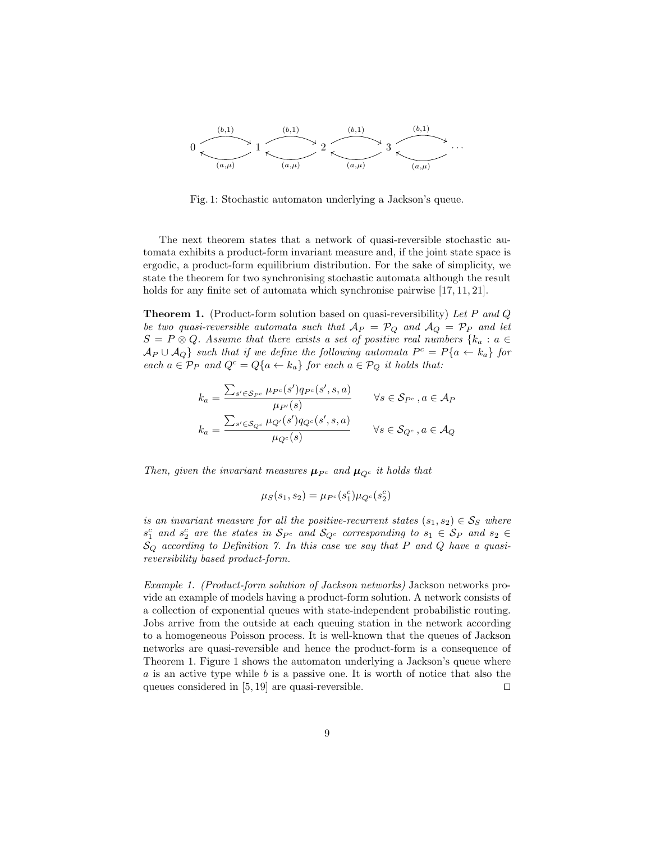

Fig. 1: Stochastic automaton underlying a Jackson's queue.

The next theorem states that a network of quasi-reversible stochastic automata exhibits a product-form invariant measure and, if the joint state space is ergodic, a product-form equilibrium distribution. For the sake of simplicity, we state the theorem for two synchronising stochastic automata although the result holds for any finite set of automata which synchronise pairwise [17, 11, 21].

**Theorem 1.** (Product-form solution based on quasi-reversibility) Let P and Q be two quasi-reversible automata such that  $A_P = P_Q$  and  $A_Q = P_P$  and let  $S = P \otimes Q$ . Assume that there exists a set of positive real numbers  $\{k_a : a \in$  $\mathcal{A}_P \cup \mathcal{A}_Q$  such that if we define the following automata  $P^c = P\{a \leftarrow k_a\}$  for each  $a \in \mathcal{P}_P$  and  $Q^c = Q\{a \leftarrow k_a\}$  for each  $a \in \mathcal{P}_Q$  it holds that:

$$
k_a = \frac{\sum_{s' \in \mathcal{S}_{P^c}} \mu_{P^c}(s')q_{P^c}(s', s, a)}{\mu_{P'}(s)} \qquad \forall s \in \mathcal{S}_{P^c}, a \in \mathcal{A}_P
$$

$$
k_a = \frac{\sum_{s' \in \mathcal{S}_{Q^c}} \mu_{Q'}(s')q_{Q^c}(s', s, a)}{\mu_{Q^c}(s)} \qquad \forall s \in \mathcal{S}_{Q^c}, a \in \mathcal{A}_Q
$$

Then, given the invariant measures  $\mu_{P^c}$  and  $\mu_{Q^c}$  it holds that

$$
\mu_S(s_1,s_2) = \mu_{P^c}(s_1^c) \mu_{Q^c}(s_2^c)
$$

is an invariant measure for all the positive-recurrent states  $(s_1, s_2) \in S_S$  where  $s_1^c$  and  $s_2^c$  are the states in  $\mathcal{S}_{P^c}$  and  $\mathcal{S}_{Q^c}$  corresponding to  $s_1 \in \mathcal{S}_P$  and  $s_2 \in$  $\mathcal{S}_{\mathcal{O}}$  according to Definition 7. In this case we say that P and Q have a quasireversibility based product-form.

Example 1. (Product-form solution of Jackson networks) Jackson networks provide an example of models having a product-form solution. A network consists of a collection of exponential queues with state-independent probabilistic routing. Jobs arrive from the outside at each queuing station in the network according to a homogeneous Poisson process. It is well-known that the queues of Jackson networks are quasi-reversible and hence the product-form is a consequence of Theorem 1. Figure 1 shows the automaton underlying a Jackson's queue where a is an active type while b is a passive one. It is worth of notice that also the queues considered in  $[5, 19]$  are quasi-reversible.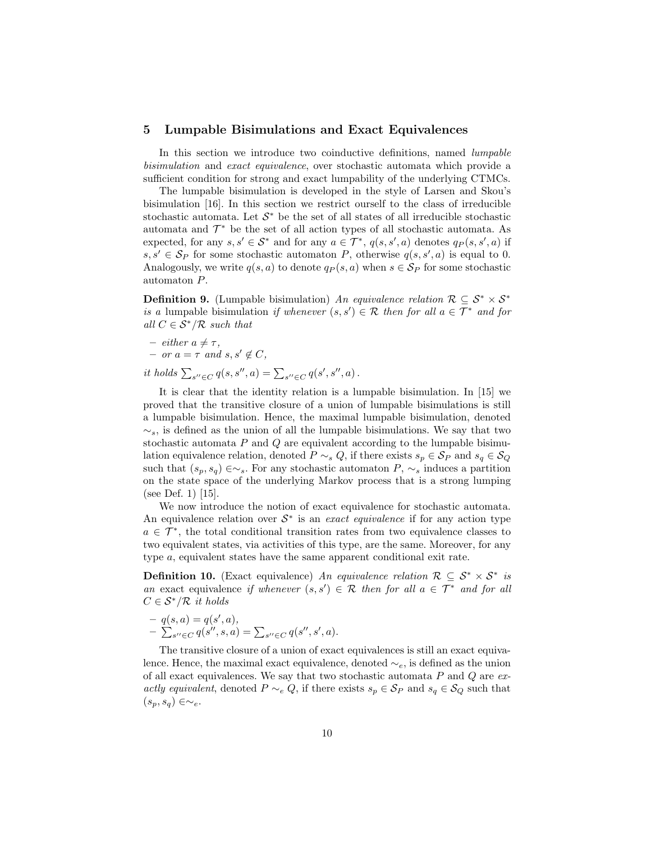#### 5 Lumpable Bisimulations and Exact Equivalences

In this section we introduce two coinductive definitions, named lumpable bisimulation and exact equivalence, over stochastic automata which provide a sufficient condition for strong and exact lumpability of the underlying CTMCs.

The lumpable bisimulation is developed in the style of Larsen and Skou's bisimulation [16]. In this section we restrict ourself to the class of irreducible stochastic automata. Let  $S^*$  be the set of all states of all irreducible stochastic automata and  $\mathcal{T}^*$  be the set of all action types of all stochastic automata. As expected, for any  $s, s' \in \mathcal{S}^*$  and for any  $a \in \mathcal{T}^*, q(s, s', a)$  denotes  $q_P(s, s', a)$  if  $s, s' \in S_P$  for some stochastic automaton P, otherwise  $q(s, s', a)$  is equal to 0. Analogously, we write  $q(s, a)$  to denote  $q_P(s, a)$  when  $s \in S_P$  for some stochastic automaton P.

**Definition 9.** (Lumpable bisimulation) An equivalence relation  $\mathcal{R} \subseteq \mathcal{S}^* \times \mathcal{S}^*$ is a lumpable bisimulation if whenever  $(s, s') \in \mathcal{R}$  then for all  $a \in \mathcal{T}^*$  and for all  $C \in \mathcal{S}^*/\mathcal{R}$  such that

 $-$  either  $a \neq \tau$ ,  $-$  or  $a = \tau$  and  $s, s' \notin C$ ,

it holds  $\sum_{s'' \in C} q(s, s'', a) = \sum_{s'' \in C} q(s', s'', a)$ .

It is clear that the identity relation is a lumpable bisimulation. In [15] we proved that the transitive closure of a union of lumpable bisimulations is still a lumpable bisimulation. Hence, the maximal lumpable bisimulation, denoted  $\sim_s$ , is defined as the union of all the lumpable bisimulations. We say that two stochastic automata  $P$  and  $Q$  are equivalent according to the lumpable bisimulation equivalence relation, denoted  $P \sim_s Q$ , if there exists  $s_p \in S_P$  and  $s_q \in S_Q$ such that  $(s_p, s_q) \in \sim_s$ . For any stochastic automaton P,  $\sim_s$  induces a partition on the state space of the underlying Markov process that is a strong lumping (see Def. 1) [15].

We now introduce the notion of exact equivalence for stochastic automata. An equivalence relation over  $S^*$  is an exact equivalence if for any action type  $a \in \mathcal{T}^*$ , the total conditional transition rates from two equivalence classes to two equivalent states, via activities of this type, are the same. Moreover, for any type a, equivalent states have the same apparent conditional exit rate.

**Definition 10.** (Exact equivalence) An equivalence relation  $\mathcal{R} \subseteq \mathcal{S}^* \times \mathcal{S}^*$  is an exact equivalence if whenever  $(s, s') \in \mathcal{R}$  then for all  $a \in \mathcal{T}^*$  and for all  $C \in \mathcal{S}^*/\mathcal{R}$  it holds

- 
$$
q(s, a) = q(s', a),
$$
  
\n-  $\sum_{s'' \in C} q(s'', s, a) = \sum_{s'' \in C} q(s'', s', a).$ 

The transitive closure of a union of exact equivalences is still an exact equivalence. Hence, the maximal exact equivalence, denoted  $\sim_e$ , is defined as the union of all exact equivalences. We say that two stochastic automata  $P$  and  $Q$  are exactly equivalent, denoted  $P \sim_e Q$ , if there exists  $s_p \in S_P$  and  $s_q \in S_Q$  such that  $(s_p, s_q)$  ∈∼e.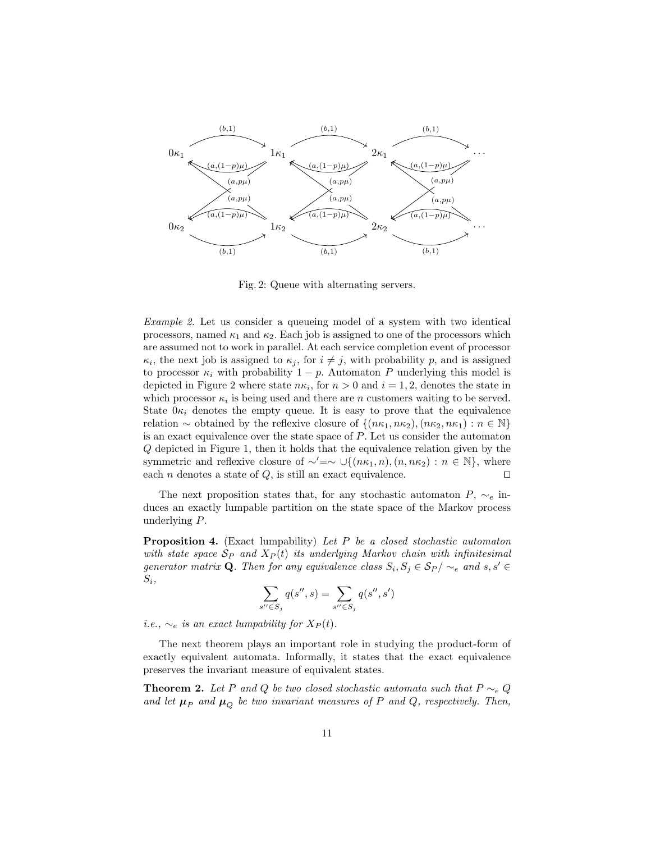

Fig. 2: Queue with alternating servers.

Example 2. Let us consider a queueing model of a system with two identical processors, named  $\kappa_1$  and  $\kappa_2$ . Each job is assigned to one of the processors which are assumed not to work in parallel. At each service completion event of processor  $\kappa_i$ , the next job is assigned to  $\kappa_j$ , for  $i \neq j$ , with probability p, and is assigned to processor  $\kappa_i$  with probability  $1 - p$ . Automaton P underlying this model is depicted in Figure 2 where state  $n\kappa_i$ , for  $n > 0$  and  $i = 1, 2$ , denotes the state in which processor  $\kappa_i$  is being used and there are n customers waiting to be served. State  $0\kappa_i$  denotes the empty queue. It is easy to prove that the equivalence relation ~ obtained by the reflexive closure of  $\{(n\kappa_1, n\kappa_2), (n\kappa_2, n\kappa_1): n \in \mathbb{N}\}\$ is an exact equivalence over the state space of P. Let us consider the automaton Q depicted in Figure 1, then it holds that the equivalence relation given by the symmetric and reflexive closure of  $\sim'=\sim \cup\{(n\kappa_1,n),(n,n\kappa_2):n\in\mathbb{N}\}\,$ , where each *n* denotes a state of  $Q$ , is still an exact equivalence.  $\Box$ 

The next proposition states that, for any stochastic automaton  $P, \sim_e$  induces an exactly lumpable partition on the state space of the Markov process underlying P.

**Proposition 4.** (Exact lumpability) Let P be a closed stochastic automaton with state space  $S_P$  and  $X_P(t)$  its underlying Markov chain with infinitesimal generator matrix Q. Then for any equivalence class  $S_i, S_j \in S_P / \sim_e$  and  $s, s' \in S$  $S_i,$ 

$$
\sum_{s'' \in S_j} q(s'', s) = \sum_{s'' \in S_j} q(s'', s')
$$

i.e.,  $\sim_e$  is an exact lumpability for  $X_P(t)$ .

The next theorem plays an important role in studying the product-form of exactly equivalent automata. Informally, it states that the exact equivalence preserves the invariant measure of equivalent states.

**Theorem 2.** Let P and Q be two closed stochastic automata such that  $P \sim_e Q$ and let  $\mu_P$  and  $\mu_Q$  be two invariant measures of P and Q, respectively. Then,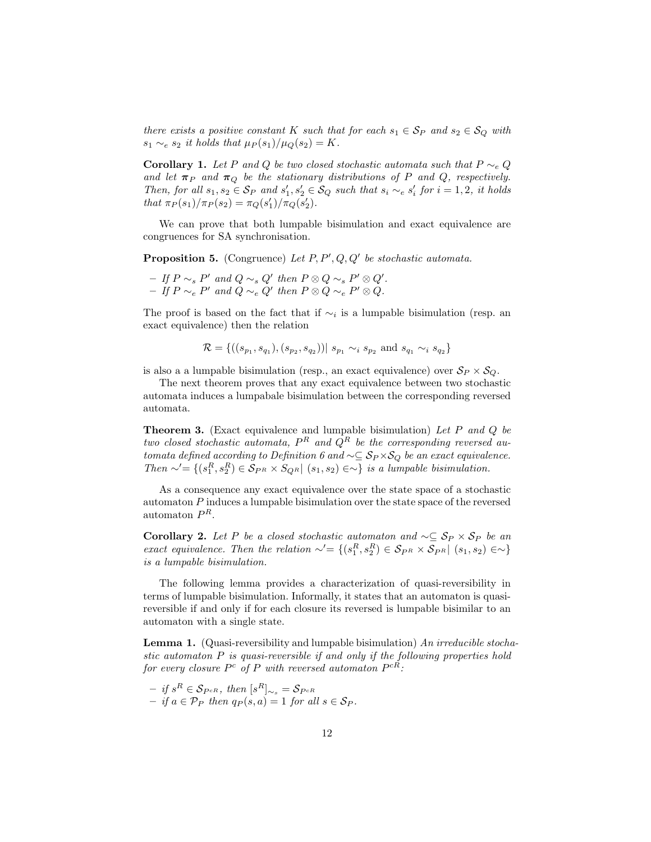there exists a positive constant K such that for each  $s_1 \in S_P$  and  $s_2 \in S_Q$  with  $s_1 \sim_e s_2$  it holds that  $\mu_P(s_1)/\mu_Q(s_2) = K$ .

**Corollary 1.** Let P and Q be two closed stochastic automata such that  $P \sim_e Q$ and let  $\pi_P$  and  $\pi_Q$  be the stationary distributions of P and Q, respectively. Then, for all  $s_1, s_2 \in S_P$  and  $s'_1, s'_2 \in S_Q$  such that  $s_i \sim_e s'_i$  for  $i = 1, 2$ , it holds that  $\pi_P(s_1)/\pi_P(s_2) = \pi_Q(s'_1)/\pi_Q(s'_2)$ .

We can prove that both lumpable bisimulation and exact equivalence are congruences for SA synchronisation.

**Proposition 5.** (Congruence) Let  $P, P', Q, Q'$  be stochastic automata.

 $-$  If P  $\sim_s P'$  and Q  $\sim_s Q'$  then  $P \otimes Q \sim_s P' \otimes Q'.$  $-$  If  $P \sim_e P'$  and  $Q \sim_e Q'$  then  $P \otimes Q \sim_e P' \otimes Q$ .

The proof is based on the fact that if  $\sim_i$  is a lumpable bisimulation (resp. an exact equivalence) then the relation

$$
\mathcal{R} = \{ ((s_{p_1}, s_{q_1}), (s_{p_2}, s_{q_2})) | s_{p_1} \sim_i s_{p_2} \text{ and } s_{q_1} \sim_i s_{q_2} \}
$$

is also a a lumpable bisimulation (resp., an exact equivalence) over  $S_P \times S_Q$ .

The next theorem proves that any exact equivalence between two stochastic automata induces a lumpabale bisimulation between the corresponding reversed automata.

**Theorem 3.** (Exact equivalence and lumpable bisimulation) Let P and Q be two closed stochastic automata,  $P^R$  and  $Q^R$  be the corresponding reversed automata defined according to Definition 6 and  $\sim \subseteq S_P \times S_Q$  be an exact equivalence. Then  $\sim' = \{(s_1^R, s_2^R) \in S_{PR} \times S_{QR} | (s_1, s_2) \in \sim\}$  is a lumpable bisimulation.

As a consequence any exact equivalence over the state space of a stochastic automaton P induces a lumpable bisimulation over the state space of the reversed automaton P R.

Corollary 2. Let P be a closed stochastic automaton and  $\sim \subseteq S_P \times S_P$  be an exact equivalence. Then the relation  $\sim' = \{(s_1^R, s_2^R) \in S_{PR} \times S_{PR} | (s_1, s_2) \in \sim\}$ is a lumpable bisimulation.

The following lemma provides a characterization of quasi-reversibility in terms of lumpable bisimulation. Informally, it states that an automaton is quasireversible if and only if for each closure its reversed is lumpable bisimilar to an automaton with a single state.

Lemma 1. (Quasi-reversibility and lumpable bisimulation) An irreducible stochastic automaton P is quasi-reversible if and only if the following properties hold for every closure  $P^c$  of P with reversed automaton  $P^{cR}$ :

- if 
$$
s^R \in S_{P^cR}
$$
, then  $[s^R]_{\sim_s} = S_{P^cR}$   
- if  $a \in \mathcal{P}_P$  then  $q_P(s, a) = 1$  for all  $s \in \mathcal{S}_P$ .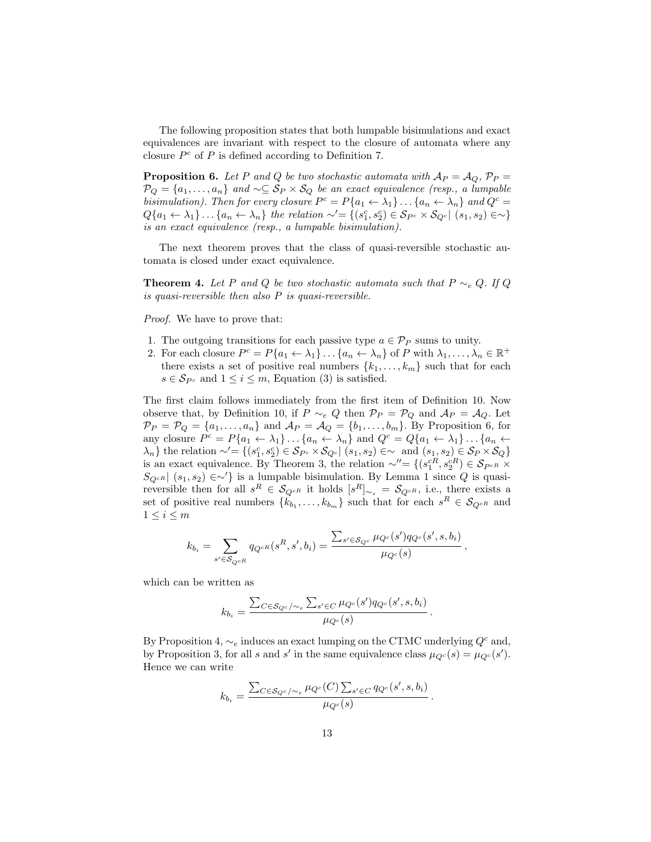The following proposition states that both lumpable bisimulations and exact equivalences are invariant with respect to the closure of automata where any closure  $P^c$  of P is defined according to Definition 7.

**Proposition 6.** Let P and Q be two stochastic automata with  $A_P = A_Q$ ,  $P_P =$  $\mathcal{P}_Q = \{a_1, \ldots, a_n\}$  and  $\sim \subseteq \mathcal{S}_P \times \mathcal{S}_Q$  be an exact equivalence (resp., a lumpable bisimulation). Then for every closure  $P^c = P\{a_1 \leftarrow \lambda_1\} \dots \{a_n \leftarrow \lambda_n\}$  and  $Q^c =$  $Q{a_1 \leftarrow \lambda_1} \dots {a_n \leftarrow \lambda_n}$  the relation  $\sim' = {(s_1^c, s_2^c) \in S_{P^c} \times S_{Q^c} | (s_1, s_2) \in \sim}$ is an exact equivalence (resp., a lumpable bisimulation).

The next theorem proves that the class of quasi-reversible stochastic automata is closed under exact equivalence.

**Theorem 4.** Let P and Q be two stochastic automata such that  $P \sim_e Q$ . If Q is quasi-reversible then also P is quasi-reversible.

Proof. We have to prove that:

- 1. The outgoing transitions for each passive type  $a \in \mathcal{P}_P$  sums to unity.
- 2. For each closure  $P^c = P\{a_1 \leftarrow \lambda_1\} \dots \{a_n \leftarrow \lambda_n\}$  of P with  $\lambda_1, \dots, \lambda_n \in \mathbb{R}^+$ there exists a set of positive real numbers  $\{k_1, \ldots, k_m\}$  such that for each  $s \in \mathcal{S}_{P^c}$  and  $1 \leq i \leq m$ , Equation (3) is satisfied.

The first claim follows immediately from the first item of Definition 10. Now observe that, by Definition 10, if  $P \sim_e Q$  then  $P_P = P_Q$  and  $A_P = A_Q$ . Let  $\mathcal{P}_P = \mathcal{P}_Q = \{a_1, \ldots, a_n\}$  and  $\mathcal{A}_P = \mathcal{A}_Q = \{b_1, \ldots, b_m\}$ . By Proposition 6, for any closure  $P^c = P\{a_1 \leftarrow \lambda_1\} \dots \{a_n \leftarrow \lambda_n\}$  and  $Q^c = Q\{a_1 \leftarrow \lambda_1\} \dots \{a_n \leftarrow \lambda_n\}$  $\{\lambda_n\}$  the relation  $\sim' = \{(s_1^c, s_2^c) \in \mathcal{S}_{P^c} \times \mathcal{S}_{Q^c} | (s_1, s_2) \in \sim \text{ and } (s_1, s_2) \in \mathcal{S}_{P} \times \mathcal{S}_{Q}\}\$ is an exact equivalence. By Theorem 3, the relation  $\sim'' = \{(s_1^{cR}, s_2^{cR}) \in S_{P^{cR}} \times$  $S_{Q^{cR}} | (s_1, s_2) \in \sim' \}$  is a lumpable bisimulation. By Lemma 1 since Q is quasireversible then for all  $s^R \in \mathcal{S}_{Q^{cR}}$  it holds  $[s^R]_{\sim_s} = \mathcal{S}_{Q^{cR}}$ , i.e., there exists a set of positive real numbers  $\{k_{b_1}, \ldots, k_{b_m}\}\$  such that for each  $s^R \in \mathcal{S}_{Q^{cR}}\$  and  $1 \leq i \leq m$ 

$$
k_{b_i} = \sum_{s' \in \mathcal{S}_{Q^{cR}}} q_{Q^{cR}}(s^R, s', b_i) = \frac{\sum_{s' \in \mathcal{S}_{Q^c}} \mu_{Q^c}(s') q_{Q^c}(s', s, b_i)}{\mu_{Q^c}(s)},
$$

which can be written as

$$
k_{b_i} = \frac{\sum_{C \in \mathcal{S}_{Q^c}/\sim_e} \sum_{s' \in C} \mu_{Q^c}(s') q_{Q^c}(s', s, b_i)}{\mu_{Q^c}(s)}
$$

.

By Proposition 4,  $\sim_e$  induces an exact lumping on the CTMC underlying  $Q^c$  and, by Proposition 3, for all s and s' in the same equivalence class  $\mu_{Q^c}(s) = \mu_{Q^c}(s')$ . Hence we can write

$$
k_{b_i} = \frac{\sum_{C \in \mathcal{S}_{Q^c}/\sim_e} \mu_{Q^c}(C) \sum_{s' \in C} q_{Q^c}(s', s, b_i)}{\mu_{Q^c}(s)}.
$$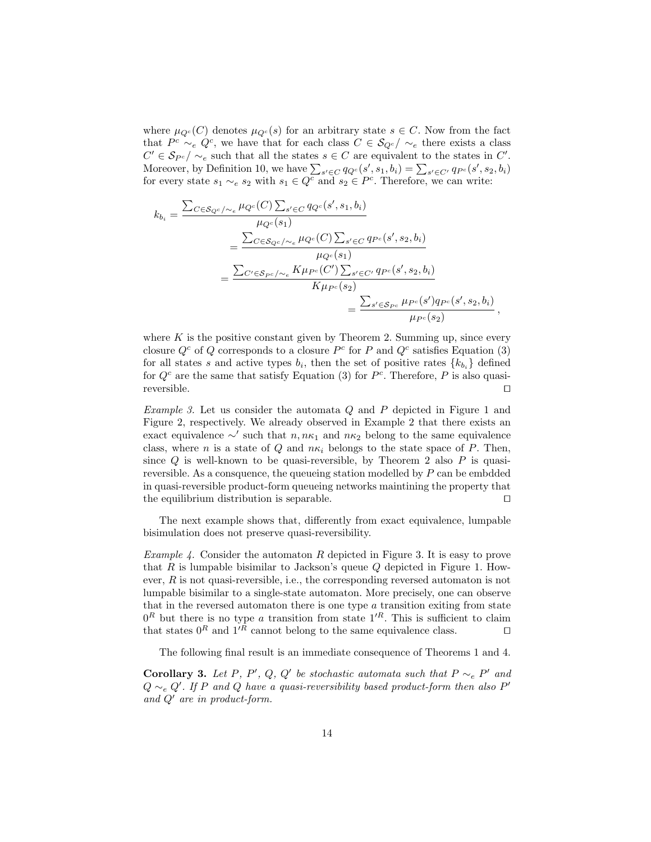where  $\mu_{Q^c}(C)$  denotes  $\mu_{Q^c}(s)$  for an arbitrary state  $s \in C$ . Now from the fact that  $P^c \sim_e Q^c$ , we have that for each class  $C \in \mathcal{S}_{Q^c}/\sim_e$  there exists a class  $C' \in \mathcal{S}_{P^c}/\sim_e$  such that all the states  $s \in C$  are equivalent to the states in  $C'.$ Moreover, by Definition 10, we have  $\sum_{s' \in C} q_{Q^c}(s', s_1, b_i) = \sum_{s' \in C'} q_{P^c}(s', s_2, b_i)$ for every state  $s_1 \sim_e s_2$  with  $s_1 \in Q^c$  and  $s_2 \in P^c$ . Therefore, we can write:

$$
k_{b_i} = \frac{\sum_{C \in S_{Q^c}/\sim_e} \mu_{Q^c}(C) \sum_{s' \in C} q_{Q^c}(s', s_1, b_i)}{\mu_{Q^c}(s_1)} = \frac{\sum_{C \in S_{Q^c}/\sim_e} \mu_{Q^c}(C) \sum_{s' \in C} q_{P^c}(s', s_2, b_i)}{\mu_{Q^c}(s_1)} = \frac{\sum_{C' \in S_{P^c}/\sim_e} K \mu_{P^c}(C') \sum_{s' \in C'} q_{P^c}(s', s_2, b_i)}{K \mu_{P^c}(s_2)} = \frac{\sum_{s' \in S_{P^c}} \mu_{P^c}(s') q_{P^c}(s', s_2, b_i)}{\mu_{P^c}(s_2)},
$$

where  $K$  is the positive constant given by Theorem 2. Summing up, since every closure  $Q^c$  of Q corresponds to a closure  $P^c$  for P and  $Q^c$  satisfies Equation (3) for all states s and active types  $b_i$ , then the set of positive rates  $\{k_{b_i}\}\$  defined for  $Q^c$  are the same that satisfy Equation (3) for  $P^c$ . Therefore, P is also quasireversible.  $\Box$ 

Example 3. Let us consider the automata Q and P depicted in Figure 1 and Figure 2, respectively. We already observed in Example 2 that there exists an exact equivalence  $\sim'$  such that  $n, n\kappa_1$  and  $n\kappa_2$  belong to the same equivalence class, where n is a state of Q and  $n\kappa_i$  belongs to the state space of P. Then, since  $Q$  is well-known to be quasi-reversible, by Theorem 2 also  $P$  is quasireversible. As a consquence, the queueing station modelled by  $P$  can be embdded in quasi-reversible product-form queueing networks maintining the property that the equilibrium distribution is separable.  $\Box$ 

The next example shows that, differently from exact equivalence, lumpable bisimulation does not preserve quasi-reversibility.

*Example 4.* Consider the automaton  $R$  depicted in Figure 3. It is easy to prove that  $R$  is lumpable bisimilar to Jackson's queue  $Q$  depicted in Figure 1. However,  $R$  is not quasi-reversible, i.e., the corresponding reversed automaton is not lumpable bisimilar to a single-state automaton. More precisely, one can observe that in the reversed automaton there is one type  $a$  transition exiting from state  $0<sup>R</sup>$  but there is no type a transition from state  $1<sup>l</sup>$ . This is sufficient to claim that states  $0^R$  and  $1^{\overline{R}}$  cannot belong to the same equivalence class.

The following final result is an immediate consequence of Theorems 1 and 4.

Corollary 3. Let P, P', Q, Q' be stochastic automata such that  $P \sim_e P'$  and  $Q \sim_e Q'$ . If P and Q have a quasi-reversibility based product-form then also P' and  $Q'$  are in product-form.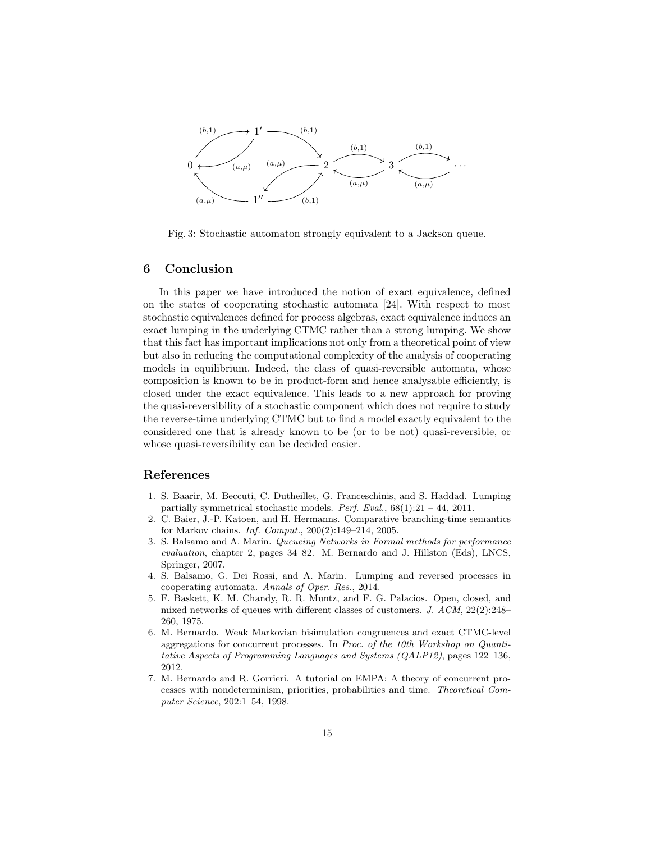

Fig. 3: Stochastic automaton strongly equivalent to a Jackson queue.

### 6 Conclusion

In this paper we have introduced the notion of exact equivalence, defined on the states of cooperating stochastic automata [24]. With respect to most stochastic equivalences defined for process algebras, exact equivalence induces an exact lumping in the underlying CTMC rather than a strong lumping. We show that this fact has important implications not only from a theoretical point of view but also in reducing the computational complexity of the analysis of cooperating models in equilibrium. Indeed, the class of quasi-reversible automata, whose composition is known to be in product-form and hence analysable efficiently, is closed under the exact equivalence. This leads to a new approach for proving the quasi-reversibility of a stochastic component which does not require to study the reverse-time underlying CTMC but to find a model exactly equivalent to the considered one that is already known to be (or to be not) quasi-reversible, or whose quasi-reversibility can be decided easier.

### References

- 1. S. Baarir, M. Beccuti, C. Dutheillet, G. Franceschinis, and S. Haddad. Lumping partially symmetrical stochastic models. Perf. Eval.,  $68(1):21 - 44$ , 2011.
- 2. C. Baier, J.-P. Katoen, and H. Hermanns. Comparative branching-time semantics for Markov chains. Inf. Comput., 200(2):149–214, 2005.
- 3. S. Balsamo and A. Marin. Queueing Networks in Formal methods for performance evaluation, chapter 2, pages 34–82. M. Bernardo and J. Hillston (Eds), LNCS, Springer, 2007.
- 4. S. Balsamo, G. Dei Rossi, and A. Marin. Lumping and reversed processes in cooperating automata. Annals of Oper. Res., 2014.
- 5. F. Baskett, K. M. Chandy, R. R. Muntz, and F. G. Palacios. Open, closed, and mixed networks of queues with different classes of customers. J. ACM, 22(2):248– 260, 1975.
- 6. M. Bernardo. Weak Markovian bisimulation congruences and exact CTMC-level aggregations for concurrent processes. In Proc. of the 10th Workshop on Quantitative Aspects of Programming Languages and Systems (QALP12), pages 122–136, 2012.
- 7. M. Bernardo and R. Gorrieri. A tutorial on EMPA: A theory of concurrent processes with nondeterminism, priorities, probabilities and time. Theoretical Computer Science, 202:1–54, 1998.